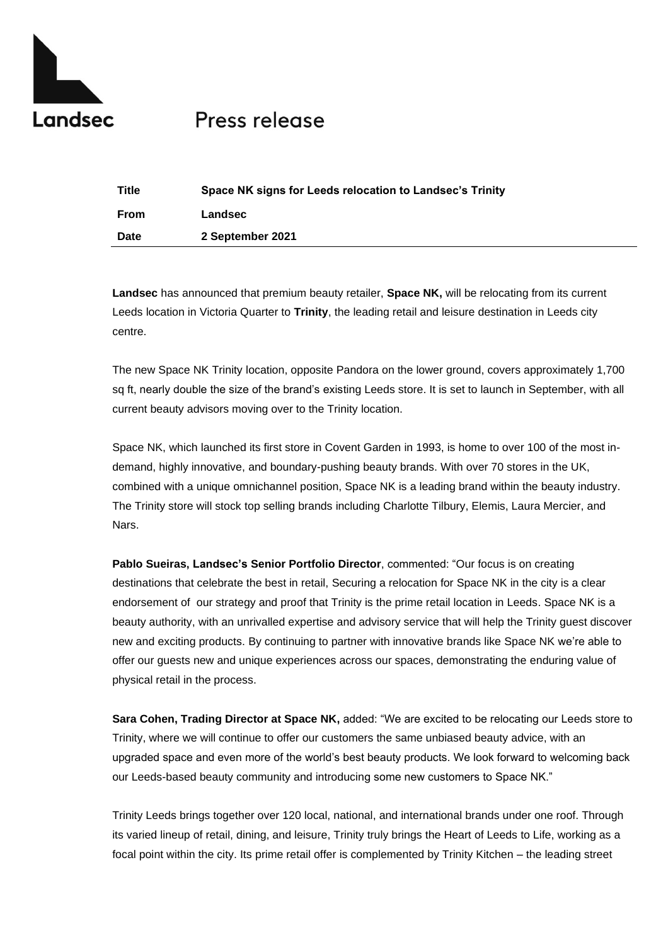

## Press release

| <b>Title</b> | Space NK signs for Leeds relocation to Landsec's Trinity |
|--------------|----------------------------------------------------------|
| From         | Landsec                                                  |
| <b>Date</b>  | 2 September 2021                                         |

**Landsec** has announced that premium beauty retailer, **Space NK,** will be relocating from its current Leeds location in Victoria Quarter to **Trinity**, the leading retail and leisure destination in Leeds city centre.

The new Space NK Trinity location, opposite Pandora on the lower ground, covers approximately 1,700 sq ft, nearly double the size of the brand's existing Leeds store. It is set to launch in September, with all current beauty advisors moving over to the Trinity location.

Space NK, which launched its first store in Covent Garden in 1993, is home to over 100 of the most indemand, highly innovative, and boundary-pushing beauty brands. With over 70 stores in the UK, combined with a unique omnichannel position, Space NK is a leading brand within the beauty industry. The Trinity store will stock top selling brands including Charlotte Tilbury, Elemis, Laura Mercier, and Nars.

**Pablo Sueiras, Landsec's Senior Portfolio Director**, commented: "Our focus is on creating destinations that celebrate the best in retail, Securing a relocation for Space NK in the city is a clear endorsement of our strategy and proof that Trinity is the prime retail location in Leeds. Space NK is a beauty authority, with an unrivalled expertise and advisory service that will help the Trinity guest discover new and exciting products. By continuing to partner with innovative brands like Space NK we're able to offer our guests new and unique experiences across our spaces, demonstrating the enduring value of physical retail in the process.

**Sara Cohen, Trading Director at Space NK,** added: "We are excited to be relocating our Leeds store to Trinity, where we will continue to offer our customers the same unbiased beauty advice, with an upgraded space and even more of the world's best beauty products. We look forward to welcoming back our Leeds-based beauty community and introducing some new customers to Space NK."

Trinity Leeds brings together over 120 local, national, and international brands under one roof. Through its varied lineup of retail, dining, and leisure, Trinity truly brings the Heart of Leeds to Life, working as a focal point within the city. Its prime retail offer is complemented by Trinity Kitchen – the leading street